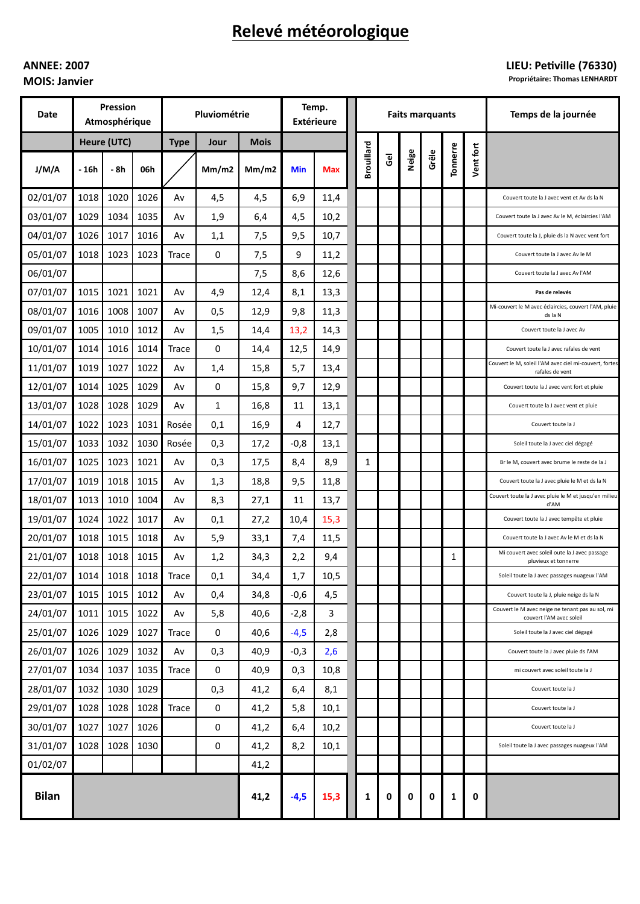# Relevé météorologique

## **ANNEE: 2007 MOIS: Janvier**

## LIEU: Petiville (76330)

**Propriétaire: Thomas LENHARDT** 

| Date         | Pression<br>Atmosphérique |      |      | Pluviométrie |             |             | Temp.<br><b>Extérieure</b> |            |  | <b>Faits marquants</b> |                |       |       |          |           | Temps de la journée                                                          |
|--------------|---------------------------|------|------|--------------|-------------|-------------|----------------------------|------------|--|------------------------|----------------|-------|-------|----------|-----------|------------------------------------------------------------------------------|
|              | Heure (UTC)               |      |      | <b>Type</b>  | Jour        | <b>Mois</b> |                            |            |  |                        |                |       |       |          |           |                                                                              |
| J/M/A        | - 16h                     | - 8h | 06h  |              | Mm/m2       | Mm/m2       | <b>Min</b>                 | <b>Max</b> |  | <b>Brouillard</b>      | $\overline{6}$ | Neige | Grêle | Tonnerre | Vent fort |                                                                              |
| 02/01/07     | 1018                      | 1020 | 1026 | A٧           | 4,5         | 4,5         | 6,9                        | 11,4       |  |                        |                |       |       |          |           | Couvert toute la J avec vent et Av ds la N                                   |
| 03/01/07     | 1029                      | 1034 | 1035 | A٧           | 1,9         | 6,4         | 4,5                        | 10,2       |  |                        |                |       |       |          |           | Couvert toute la J avec Av le M, éclaircies l'AM                             |
| 04/01/07     | 1026                      | 1017 | 1016 | A٧           | 1,1         | 7,5         | 9,5                        | 10,7       |  |                        |                |       |       |          |           | Couvert toute la J, pluie ds la N avec vent fort                             |
| 05/01/07     | 1018                      | 1023 | 1023 | <b>Trace</b> | 0           | 7,5         | 9                          | 11,2       |  |                        |                |       |       |          |           | Couvert toute la J avec Av le M                                              |
| 06/01/07     |                           |      |      |              |             | 7,5         | 8,6                        | 12,6       |  |                        |                |       |       |          |           | Couvert toute la J avec Av l'AM                                              |
| 07/01/07     | 1015                      | 1021 | 1021 | A٧           | 4,9         | 12,4        | 8,1                        | 13,3       |  |                        |                |       |       |          |           | Pas de relevés                                                               |
| 08/01/07     | 1016                      | 1008 | 1007 | Av           | 0,5         | 12,9        | 9,8                        | 11,3       |  |                        |                |       |       |          |           | Mi-couvert le M avec éclaircies, couvert l'AM, pluie<br>ds la N              |
| 09/01/07     | 1005                      | 1010 | 1012 | A٧           | 1,5         | 14,4        | 13,2                       | 14,3       |  |                        |                |       |       |          |           | Couvert toute la J avec Av                                                   |
| 10/01/07     | 1014                      | 1016 | 1014 | <b>Trace</b> | 0           | 14,4        | 12,5                       | 14,9       |  |                        |                |       |       |          |           | Couvert toute la J avec rafales de vent                                      |
| 11/01/07     | 1019                      | 1027 | 1022 | A٧           | 1,4         | 15,8        | 5,7                        | 13,4       |  |                        |                |       |       |          |           | Couvert le M, soleil l'AM avec ciel mi-couvert, fortes<br>rafales de vent    |
| 12/01/07     | 1014                      | 1025 | 1029 | Av           | 0           | 15,8        | 9,7                        | 12,9       |  |                        |                |       |       |          |           | Couvert toute la J avec vent fort et pluie                                   |
| 13/01/07     | 1028                      | 1028 | 1029 | Av           | 1           | 16,8        | 11                         | 13,1       |  |                        |                |       |       |          |           | Couvert toute la J avec vent et pluie                                        |
| 14/01/07     | 1022                      | 1023 | 1031 | Rosée        | 0,1         | 16,9        | 4                          | 12,7       |  |                        |                |       |       |          |           | Couvert toute la J                                                           |
| 15/01/07     | 1033                      | 1032 | 1030 | Rosée        | 0,3         | 17,2        | $-0,8$                     | 13,1       |  |                        |                |       |       |          |           | Soleil toute la J avec ciel dégagé                                           |
| 16/01/07     | 1025                      | 1023 | 1021 | Av           | 0,3         | 17,5        | 8,4                        | 8,9        |  | 1                      |                |       |       |          |           | Br le M, couvert avec brume le reste de la J                                 |
| 17/01/07     | 1019                      | 1018 | 1015 | Av           | 1,3         | 18,8        | 9,5                        | 11,8       |  |                        |                |       |       |          |           | Couvert toute la J avec pluie le M et ds la N                                |
| 18/01/07     | 1013                      | 1010 | 1004 | A٧           | 8,3         | 27,1        | 11                         | 13,7       |  |                        |                |       |       |          |           | Couvert toute la J avec pluie le M et jusqu'en milieu<br>d'AM                |
| 19/01/07     | 1024                      | 1022 | 1017 | A٧           | 0,1         | 27,2        | 10,4                       | 15,3       |  |                        |                |       |       |          |           | Couvert toute la J avec tempête et pluie                                     |
| 20/01/07     | 1018                      | 1015 | 1018 | Av           | 5,9         | 33,1        | 7,4                        | 11,5       |  |                        |                |       |       |          |           | Couvert toute la J avec Av le M et ds la N                                   |
| 21/01/07     | 1018                      | 1018 | 1015 | Av           | 1,2         | 34,3        | 2,2                        | 9,4        |  |                        |                |       |       | 1        |           | Mi couvert avec soleil oute la J avec passage<br>pluvieux et tonnerre        |
| 22/01/07     | 1014                      | 1018 | 1018 | <b>Irace</b> | 0,1         | 34,4        | 1,7                        | 10,5       |  |                        |                |       |       |          |           | Soleil toute la J avec passages nuageux l'AM                                 |
| 23/01/07     | 1015                      | 1015 | 1012 | Av           | 0,4         | 34,8        | $-0,6$                     | 4,5        |  |                        |                |       |       |          |           | Couvert toute la J, pluie neige ds la N                                      |
| 24/01/07     | 1011                      | 1015 | 1022 | Av           | 5,8         | 40,6        | $-2,8$                     | 3          |  |                        |                |       |       |          |           | Couvert le M avec neige ne tenant pas au sol, mi<br>couvert l'AM avec soleil |
| 25/01/07     | 1026                      | 1029 | 1027 | <b>Trace</b> | $\mathbf 0$ | 40,6        | $-4,5$                     | 2,8        |  |                        |                |       |       |          |           | Soleil toute la J avec ciel dégagé                                           |
| 26/01/07     | 1026                      | 1029 | 1032 | Av           | 0,3         | 40,9        | $-0,3$                     | 2,6        |  |                        |                |       |       |          |           | Couvert toute la J avec pluie ds l'AM                                        |
| 27/01/07     | 1034                      | 1037 | 1035 | <b>Trace</b> | 0           | 40,9        | 0,3                        | 10,8       |  |                        |                |       |       |          |           | mi couvert avec soleil toute la J                                            |
| 28/01/07     | 1032                      | 1030 | 1029 |              | 0,3         | 41,2        | 6,4                        | 8,1        |  |                        |                |       |       |          |           | Couvert toute la J                                                           |
| 29/01/07     | 1028                      | 1028 | 1028 | <b>Trace</b> | 0           | 41,2        | 5,8                        | 10,1       |  |                        |                |       |       |          |           | Couvert toute la J                                                           |
| 30/01/07     | 1027                      | 1027 | 1026 |              | $\mathbf 0$ | 41,2        | 6,4                        | 10,2       |  |                        |                |       |       |          |           | Couvert toute la J                                                           |
| 31/01/07     | 1028                      | 1028 | 1030 |              | $\pmb{0}$   | 41,2        | 8,2                        | 10,1       |  |                        |                |       |       |          |           | Soleil toute la J avec passages nuageux l'AM                                 |
| 01/02/07     |                           |      |      |              |             | 41,2        |                            |            |  |                        |                |       |       |          |           |                                                                              |
| <b>Bilan</b> |                           |      |      |              |             | 41,2        | $-4,5$                     | 15,3       |  | 1                      | 0              | 0     | 0     | 1        | 0         |                                                                              |